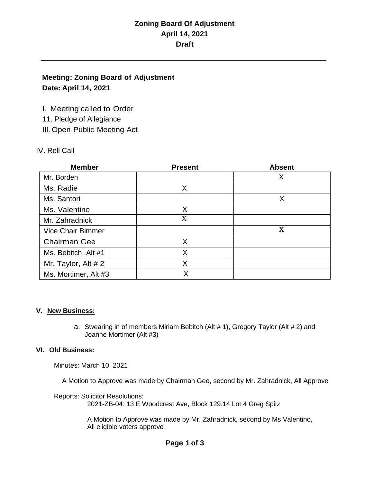### **Meeting: Zoning Board of Adjustment Date: April 14, 2021**

I. Meeting called to Order

11. Pledge of Allegiance

Ill. Open Public Meeting Act

### IV. Roll Call

| <b>Member</b>            | <b>Present</b> | <b>Absent</b> |
|--------------------------|----------------|---------------|
| Mr. Borden               |                | X             |
| Ms. Radie                | X              |               |
| Ms. Santori              |                | X             |
| Ms. Valentino            | X              |               |
| Mr. Zahradnick           | X              |               |
| <b>Vice Chair Bimmer</b> |                | X             |
| <b>Chairman Gee</b>      | X              |               |
| Ms. Bebitch, Alt #1      | X              |               |
| Mr. Taylor, Alt $# 2$    | X              |               |
| Ms. Mortimer, Alt #3     | Χ              |               |

### **V. New Business:**

a. Swearing in of members Miriam Bebitch (Alt # 1), Gregory Taylor (Alt # 2) and Joanne Mortimer (Alt #3)

### **VI. Old Business:**

Minutes: March 10, 2021

A Motion to Approve was made by Chairman Gee, second by Mr. Zahradnick, All Approve

Reports: Solicitor Resolutions: 2021-ZB-04: 13 E Woodcrest Ave, Block 129.14 Lot 4 Greg Spitz

> A Motion to Approve was made by Mr. Zahradnick, second by Ms Valentino, All eligible voters approve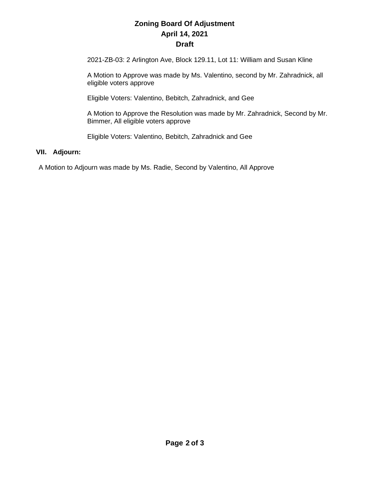2021-ZB-03: 2 Arlington Ave, Block 129.11, Lot 11: William and Susan Kline

A Motion to Approve was made by Ms. Valentino, second by Mr. Zahradnick, all eligible voters approve

Eligible Voters: Valentino, Bebitch, Zahradnick, and Gee

A Motion to Approve the Resolution was made by Mr. Zahradnick, Second by Mr. Bimmer, All eligible voters approve

Eligible Voters: Valentino, Bebitch, Zahradnick and Gee

#### **VII. Adjourn:**

A Motion to Adjourn was made by Ms. Radie, Second by Valentino, All Approve